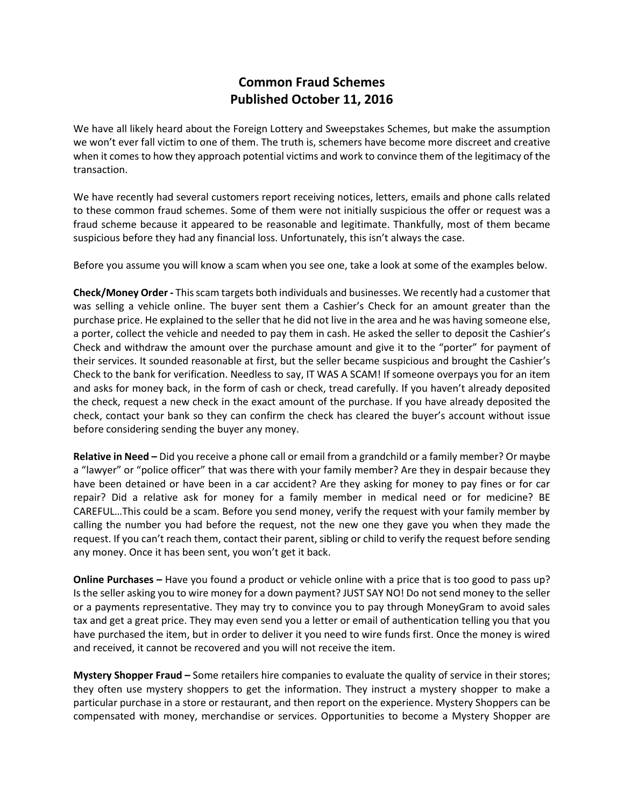## **Common Fraud Schemes Published October 11, 2016**

We have all likely heard about the Foreign Lottery and Sweepstakes Schemes, but make the assumption we won't ever fall victim to one of them. The truth is, schemers have become more discreet and creative when it comes to how they approach potential victims and work to convince them of the legitimacy of the transaction.

We have recently had several customers report receiving notices, letters, emails and phone calls related to these common fraud schemes. Some of them were not initially suspicious the offer or request was a fraud scheme because it appeared to be reasonable and legitimate. Thankfully, most of them became suspicious before they had any financial loss. Unfortunately, this isn't always the case.

Before you assume you will know a scam when you see one, take a look at some of the examples below.

**Check/Money Order -** This scam targets both individuals and businesses. We recently had a customer that was selling a vehicle online. The buyer sent them a Cashier's Check for an amount greater than the purchase price. He explained to the seller that he did not live in the area and he was having someone else, a porter, collect the vehicle and needed to pay them in cash. He asked the seller to deposit the Cashier's Check and withdraw the amount over the purchase amount and give it to the "porter" for payment of their services. It sounded reasonable at first, but the seller became suspicious and brought the Cashier's Check to the bank for verification. Needless to say, IT WAS A SCAM! If someone overpays you for an item and asks for money back, in the form of cash or check, tread carefully. If you haven't already deposited the check, request a new check in the exact amount of the purchase. If you have already deposited the check, contact your bank so they can confirm the check has cleared the buyer's account without issue before considering sending the buyer any money.

**Relative in Need –** Did you receive a phone call or email from a grandchild or a family member? Or maybe a "lawyer" or "police officer" that was there with your family member? Are they in despair because they have been detained or have been in a car accident? Are they asking for money to pay fines or for car repair? Did a relative ask for money for a family member in medical need or for medicine? BE CAREFUL…This could be a scam. Before you send money, verify the request with your family member by calling the number you had before the request, not the new one they gave you when they made the request. If you can't reach them, contact their parent, sibling or child to verify the request before sending any money. Once it has been sent, you won't get it back.

**Online Purchases –** Have you found a product or vehicle online with a price that is too good to pass up? Is the seller asking you to wire money for a down payment? JUST SAY NO! Do not send money to the seller or a payments representative. They may try to convince you to pay through MoneyGram to avoid sales tax and get a great price. They may even send you a letter or email of authentication telling you that you have purchased the item, but in order to deliver it you need to wire funds first. Once the money is wired and received, it cannot be recovered and you will not receive the item.

**Mystery Shopper Fraud –** Some retailers hire companies to evaluate the quality of service in their stores; they often use mystery shoppers to get the information. They instruct a mystery shopper to make a particular purchase in a store or restaurant, and then report on the experience. Mystery Shoppers can be compensated with money, merchandise or services. Opportunities to become a Mystery Shopper are